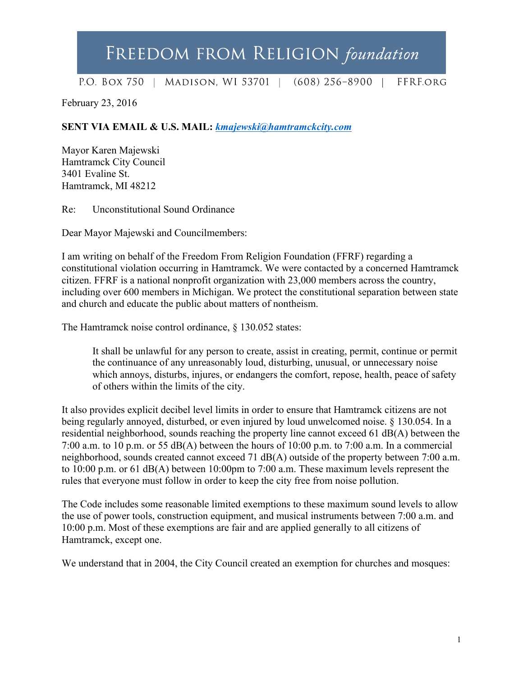## FREEDOM FROM RELIGION foundation

P.O. BOX 750 | MADISON, WI 53701 | (608) 256-8900 | **FFREORG** 

February 23, 2016

**SENT VIA EMAIL & U.S. MAIL:** *kmajewski@hamtramckcity.com*

Mayor Karen Majewski Hamtramck City Council 3401 Evaline St. Hamtramck, MI 48212

Re: Unconstitutional Sound Ordinance

Dear Mayor Majewski and Councilmembers:

I am writing on behalf of the Freedom From Religion Foundation (FFRF) regarding a constitutional violation occurring in Hamtramck. We were contacted by a concerned Hamtramck citizen. FFRF is a national nonprofit organization with 23,000 members across the country, including over 600 members in Michigan. We protect the constitutional separation between state and church and educate the public about matters of nontheism.

The Hamtramck noise control ordinance, § 130.052 states:

It shall be unlawful for any person to create, assist in creating, permit, continue or permit the continuance of any unreasonably loud, disturbing, unusual, or unnecessary noise which annoys, disturbs, injures, or endangers the comfort, repose, health, peace of safety of others within the limits of the city.

It also provides explicit decibel level limits in order to ensure that Hamtramck citizens are not being regularly annoyed, disturbed, or even injured by loud unwelcomed noise. § 130.054. In a residential neighborhood, sounds reaching the property line cannot exceed 61 dB(A) between the 7:00 a.m. to 10 p.m. or 55 dB(A) between the hours of 10:00 p.m. to 7:00 a.m. In a commercial neighborhood, sounds created cannot exceed 71 dB(A) outside of the property between 7:00 a.m. to 10:00 p.m. or 61 dB(A) between 10:00pm to 7:00 a.m. These maximum levels represent the rules that everyone must follow in order to keep the city free from noise pollution.

The Code includes some reasonable limited exemptions to these maximum sound levels to allow the use of power tools, construction equipment, and musical instruments between 7:00 a.m. and 10:00 p.m. Most of these exemptions are fair and are applied generally to all citizens of Hamtramck, except one.

We understand that in 2004, the City Council created an exemption for churches and mosques: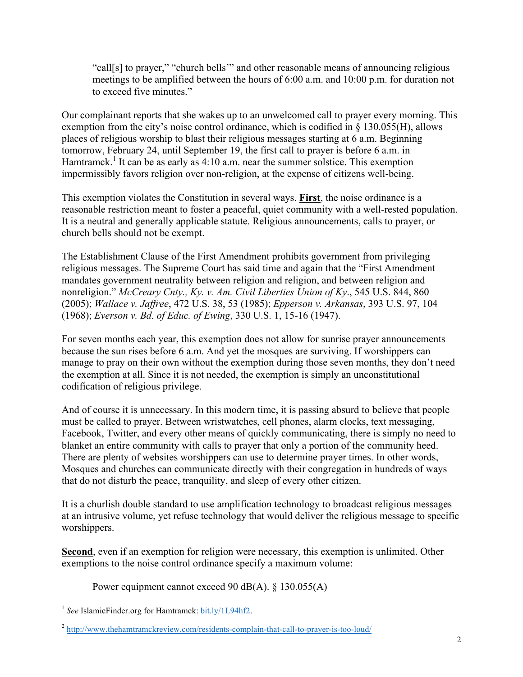"call[s] to prayer," "church bells'" and other reasonable means of announcing religious meetings to be amplified between the hours of 6:00 a.m. and 10:00 p.m. for duration not to exceed five minutes."

Our complainant reports that she wakes up to an unwelcomed call to prayer every morning. This exemption from the city's noise control ordinance, which is codified in § 130.055(H), allows places of religious worship to blast their religious messages starting at 6 a.m. Beginning tomorrow, February 24, until September 19, the first call to prayer is before 6 a.m. in Hamtramck.<sup>1</sup> It can be as early as  $4:10$  a.m. near the summer solstice. This exemption impermissibly favors religion over non-religion, at the expense of citizens well-being.

This exemption violates the Constitution in several ways. **First**, the noise ordinance is a reasonable restriction meant to foster a peaceful, quiet community with a well-rested population. It is a neutral and generally applicable statute. Religious announcements, calls to prayer, or church bells should not be exempt.

The Establishment Clause of the First Amendment prohibits government from privileging religious messages. The Supreme Court has said time and again that the "First Amendment mandates government neutrality between religion and religion, and between religion and nonreligion." *McCreary Cnty., Ky. v. Am. Civil Liberties Union of Ky*., 545 U.S. 844, 860 (2005); *Wallace v. Jaffree*, 472 U.S. 38, 53 (1985); *Epperson v. Arkansas*, 393 U.S. 97, 104 (1968); *Everson v. Bd. of Educ. of Ewing*, 330 U.S. 1, 15-16 (1947).

For seven months each year, this exemption does not allow for sunrise prayer announcements because the sun rises before 6 a.m. And yet the mosques are surviving. If worshippers can manage to pray on their own without the exemption during those seven months, they don't need the exemption at all. Since it is not needed, the exemption is simply an unconstitutional codification of religious privilege.

And of course it is unnecessary. In this modern time, it is passing absurd to believe that people must be called to prayer. Between wristwatches, cell phones, alarm clocks, text messaging, Facebook, Twitter, and every other means of quickly communicating, there is simply no need to blanket an entire community with calls to prayer that only a portion of the community heed. There are plenty of websites worshippers can use to determine prayer times. In other words, Mosques and churches can communicate directly with their congregation in hundreds of ways that do not disturb the peace, tranquility, and sleep of every other citizen.

It is a churlish double standard to use amplification technology to broadcast religious messages at an intrusive volume, yet refuse technology that would deliver the religious message to specific worshippers.

**Second**, even if an exemption for religion were necessary, this exemption is unlimited. Other exemptions to the noise control ordinance specify a maximum volume:

Power equipment cannot exceed 90 dB(A). § 130.055(A)

<sup>&</sup>lt;sup>1</sup> See IslamicFinder.org for Hamtramck: bit.ly/1L94hf2.

<sup>2</sup> http://www.thehamtramckreview.com/residents-complain-that-call-to-prayer-is-too-loud/